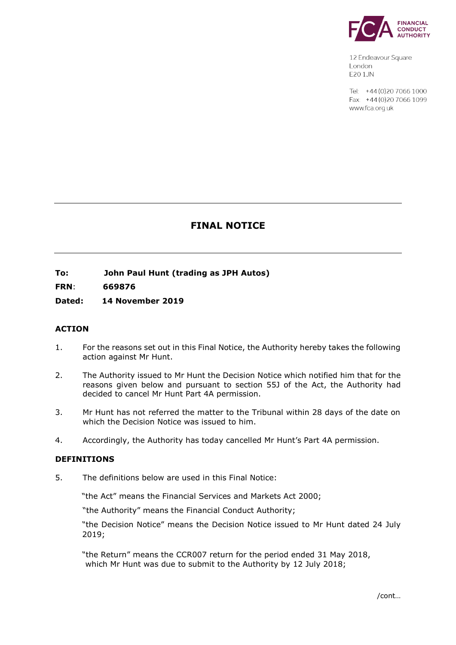

12 Endeavour Square London F201.JN

Tel: +44 (0) 20 7066 1000  $Fax + 44(0)2070661099$ www.fca.org.uk

# **FINAL NOTICE**

# **To: John Paul Hunt (trading as JPH Autos)**

**FRN**: **669876**

**Dated: 14 November 2019**

# **ACTION**

- 1. For the reasons set out in this Final Notice, the Authority hereby takes the following action against Mr Hunt.
- 2. The Authority issued to Mr Hunt the Decision Notice which notified him that for the reasons given below and pursuant to section 55J of the Act, the Authority had decided to cancel Mr Hunt Part 4A permission.
- 3. Mr Hunt has not referred the matter to the Tribunal within 28 days of the date on which the Decision Notice was issued to him.
- 4. Accordingly, the Authority has today cancelled Mr Hunt's Part 4A permission.

#### **DEFINITIONS**

5. The definitions below are used in this Final Notice:

"the Act" means the Financial Services and Markets Act 2000;

"the Authority" means the Financial Conduct Authority;

"the Decision Notice" means the Decision Notice issued to Mr Hunt dated 24 July 2019;

"the Return" means the CCR007 return for the period ended 31 May 2018, which Mr Hunt was due to submit to the Authority by 12 July 2018;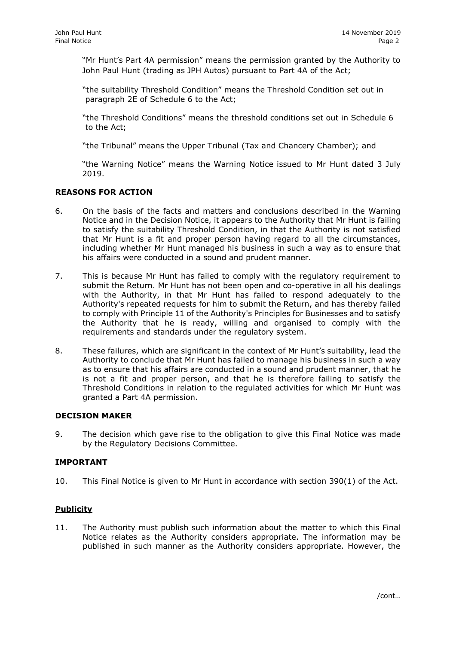"Mr Hunt's Part 4A permission" means the permission granted by the Authority to John Paul Hunt (trading as JPH Autos) pursuant to Part 4A of the Act;

"the suitability Threshold Condition" means the Threshold Condition set out in paragraph 2E of Schedule 6 to the Act;

"the Threshold Conditions" means the threshold conditions set out in Schedule 6 to the Act;

"the Tribunal" means the Upper Tribunal (Tax and Chancery Chamber); and

"the Warning Notice" means the Warning Notice issued to Mr Hunt dated 3 July 2019.

## **REASONS FOR ACTION**

- 6. On the basis of the facts and matters and conclusions described in the Warning Notice and in the Decision Notice, it appears to the Authority that Mr Hunt is failing to satisfy the suitability Threshold Condition, in that the Authority is not satisfied that Mr Hunt is a fit and proper person having regard to all the circumstances, including whether Mr Hunt managed his business in such a way as to ensure that his affairs were conducted in a sound and prudent manner.
- 7. This is because Mr Hunt has failed to comply with the regulatory requirement to submit the Return. Mr Hunt has not been open and co-operative in all his dealings with the Authority, in that Mr Hunt has failed to respond adequately to the Authority's repeated requests for him to submit the Return, and has thereby failed to comply with Principle 11 of the Authority's Principles for Businesses and to satisfy the Authority that he is ready, willing and organised to comply with the requirements and standards under the regulatory system.
- 8. These failures, which are significant in the context of Mr Hunt's suitability, lead the Authority to conclude that Mr Hunt has failed to manage his business in such a way as to ensure that his affairs are conducted in a sound and prudent manner, that he is not a fit and proper person, and that he is therefore failing to satisfy the Threshold Conditions in relation to the regulated activities for which Mr Hunt was granted a Part 4A permission.

### **DECISION MAKER**

9. The decision which gave rise to the obligation to give this Final Notice was made by the Regulatory Decisions Committee.

# **IMPORTANT**

10. This Final Notice is given to Mr Hunt in accordance with section 390(1) of the Act.

# **Publicity**

11. The Authority must publish such information about the matter to which this Final Notice relates as the Authority considers appropriate. The information may be published in such manner as the Authority considers appropriate. However, the